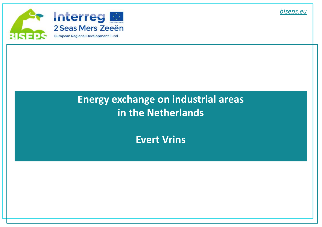

# **Energy exchange on industrial areas in the Netherlands**

**Evert Vrins**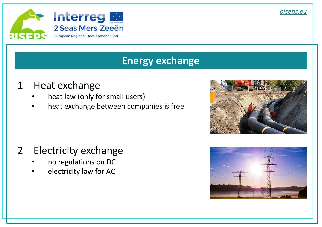

#### **Energy exchange**

# 1 Heat exchange

- heat law (only for small users)
- heat exchange between companies is free



- no regulations on DC
- electricity law for AC



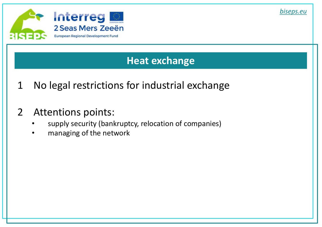

#### **Heat exchange**

- 1 No legal restrictions for industrial exchange
- 2 Attentions points:
	- supply security (bankruptcy, relocation of companies)
	- managing of the network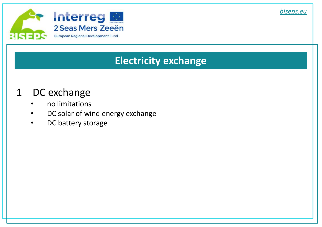

### **Electricity exchange**

# 1 DC exchange

- no limitations
- DC solar of wind energy exchange
- DC battery storage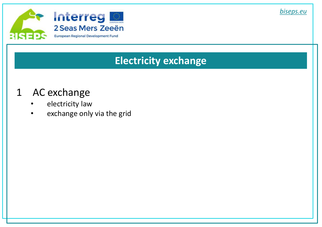

### **Electricity exchange**

# 1 AC exchange

- electricity law
- exchange only via the grid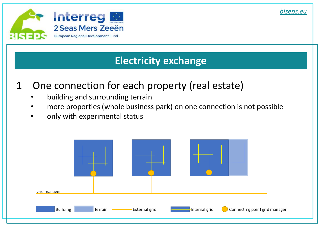

### **Electricity exchange**

- 1 One connection for each property (real estate)
	- building and surrounding terrain
	- more proporties (whole business park) on one connection is not possible
	- only with experimental status

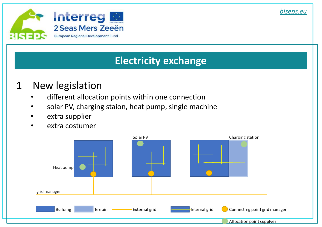

# **Electricity exchange**

### 1 New legislation

- different allocation points within one connection
- solar PV, charging staion, heat pump, single machine
- extra supplier
- extra costumer

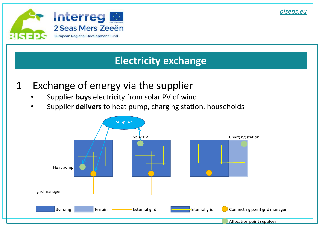

### **Electricity exchange**

- 1 Exchange of energy via the supplier
	- Supplier **buys** electricity from solar PV of wind
	- Supplier **delivers** to heat pump, charging station, households

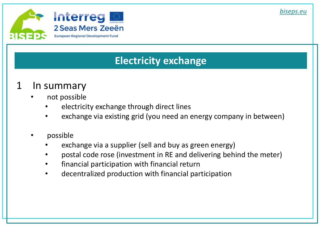

# **Electricity exchange**

# 1 In summary

- not possible
	- electricity exchange through direct lines
	- exchange via existing grid (you need an energy company in between)
- possible
	- exchange via a supplier (sell and buy as green energy)
	- postal code rose (investment in RE and delivering behind the meter)
	- financial participation with financial return
	- decentralized production with financial participation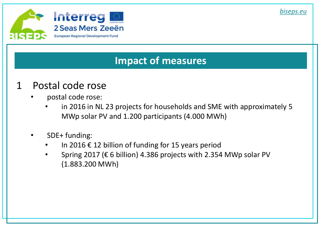

#### **Impact of measures**

### 1 Postal code rose

- postal code rose:
	- in 2016 in NL 23 projects for households and SME with approximately 5 MWp solar PV and 1.200 participants (4.000 MWh)
- SDE+ funding:
	- In 2016  $\epsilon$  12 billion of funding for 15 years period
	- Spring 2017 ( $\epsilon$  6 billion) 4.386 projects with 2.354 MWp solar PV (1.883.200 MWh)